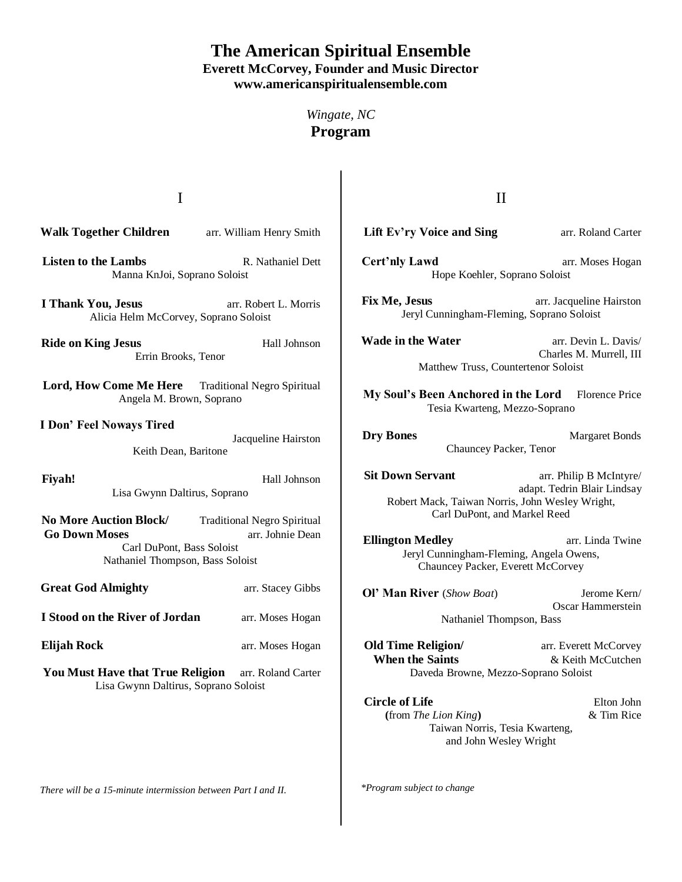## **The American Spiritual Ensemble Everett McCorvey, Founder and Music Director www.americanspiritualensemble.com**

*Wingate, NC* **Program**

I

**Walk Together Children** arr. William Henry Smith

- **Listen to the Lambs** R. Nathaniel Dett Manna KnJoi, Soprano Soloist
- **I Thank You, Jesus** arr. Robert L. Morris Alicia Helm McCorvey, Soprano Soloist

**Ride on King Jesus Hall Johnson** Errin Brooks, Tenor

- Lord, How Come Me Here Traditional Negro Spiritual Angela M. Brown, Soprano
- **I Don' Feel Noways Tired**  Jacqueline Hairston Keith Dean, Baritone
- Fivah! **Hall Johnson** Lisa Gwynn Daltirus, Soprano

No More Auction Block/ Traditional Negro Spiritual **Go Down Moses** arr. Johnie Dean Carl DuPont, Bass Soloist Nathaniel Thompson, Bass Soloist

**Great God Almighty arr. Stacey Gibbs** 

**I Stood on the River of Jordan** arr. Moses Hogan

**Elijah Rock** arr. Moses Hogan

You Must Have that True Religion arr. Roland Carter Lisa Gwynn Daltirus, Soprano Soloist

*There will be a 15-minute intermission between Part I and II.*

II

- **Lift Ev'ry Voice and Sing arr. Roland Carter**
- **Cert'nly Lawd** arr. Moses Hogan Hope Koehler, Soprano Soloist

**Fix Me, Jesus** arr. Jacqueline Hairston Jeryl Cunningham-Fleming, Soprano Soloist

**Wade in the Water** arr. Devin L. Davis/ Charles M. Murrell, III Matthew Truss, Countertenor Soloist

**My Soul's Been Anchored in the Lord** Florence Price Tesia Kwarteng, Mezzo-Soprano

**Dry Bones Margaret Bonds** Chauncey Packer, Tenor

**Sit Down Servant** arr. Philip B McIntyre/ adapt. Tedrin Blair Lindsay Robert Mack, Taiwan Norris, John Wesley Wright, Carl DuPont, and Markel Reed

**Ellington Medley arr.** Linda Twine Jeryl Cunningham-Fleming, Angela Owens, Chauncey Packer, Everett McCorvey

**Ol' Man River** (*Show Boat*)Jerome Kern/ Oscar Hammerstein Nathaniel Thompson, Bass

**Old Time Religion/** arr. Everett McCorvey **When the Saints**  $\&$  Keith McCutchen Daveda Browne, Mezzo-Soprano Soloist

**Circle of Life** Elton John **(**from *The Lion King***)** & Tim Rice Taiwan Norris, Tesia Kwarteng, and John Wesley Wright

*\*Program subject to change*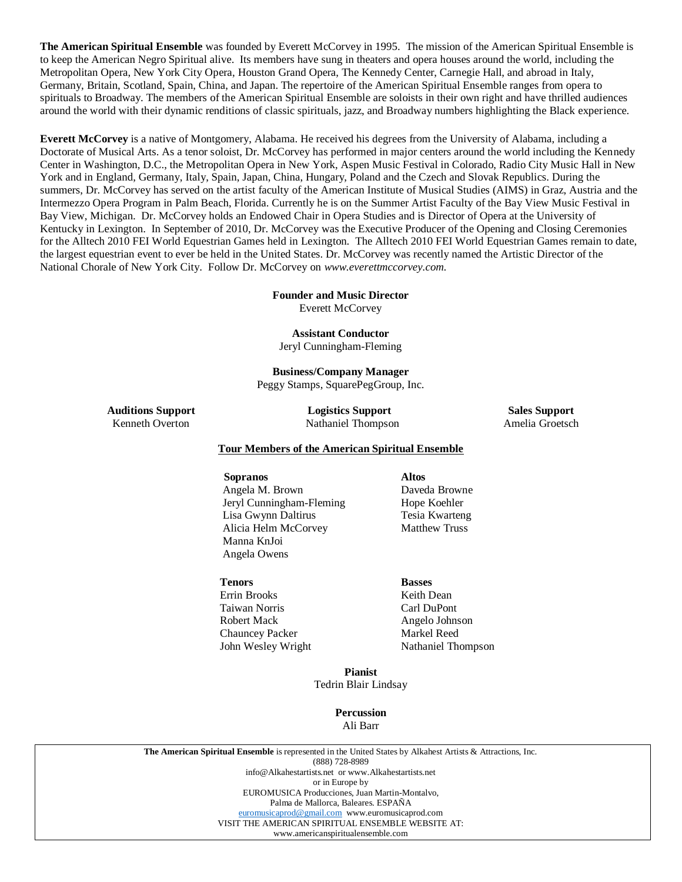**The American Spiritual Ensemble** was founded by Everett McCorvey in 1995. The mission of the American Spiritual Ensemble is to keep the American Negro Spiritual alive. Its members have sung in theaters and opera houses around the world, including the Metropolitan Opera, New York City Opera, Houston Grand Opera, The Kennedy Center, Carnegie Hall, and abroad in Italy, Germany, Britain, Scotland, Spain, China, and Japan. The repertoire of the American Spiritual Ensemble ranges from opera to spirituals to Broadway. The members of the American Spiritual Ensemble are soloists in their own right and have thrilled audiences around the world with their dynamic renditions of classic spirituals, jazz, and Broadway numbers highlighting the Black experience.

**Everett McCorvey** is a native of Montgomery, Alabama. He received his degrees from the University of Alabama, including a Doctorate of Musical Arts. As a tenor soloist, Dr. McCorvey has performed in major centers around the world including the Kennedy Center in Washington, D.C., the Metropolitan Opera in New York, Aspen Music Festival in Colorado, Radio City Music Hall in New York and in England, Germany, Italy, Spain, Japan, China, Hungary, Poland and the Czech and Slovak Republics. During the summers, Dr. McCorvey has served on the artist faculty of the American Institute of Musical Studies (AIMS) in Graz, Austria and the Intermezzo Opera Program in Palm Beach, Florida. Currently he is on the Summer Artist Faculty of the Bay View Music Festival in Bay View, Michigan. Dr. McCorvey holds an Endowed Chair in Opera Studies and is Director of Opera at the University of Kentucky in Lexington. In September of 2010, Dr. McCorvey was the Executive Producer of the Opening and Closing Ceremonies for the Alltech 2010 FEI World Equestrian Games held in Lexington. The Alltech 2010 FEI World Equestrian Games remain to date, the largest equestrian event to ever be held in the United States. Dr. McCorvey was recently named the Artistic Director of the National Chorale of New York City. Follow Dr. McCorvey on *www.everettmccorvey.com.*

> **Founder and Music Director** Everett McCorvey

**Assistant Conductor**

Jeryl Cunningham-Fleming

**Business/Company Manager** Peggy Stamps, SquarePegGroup, Inc.

**Auditions Support Logistics Support Sales Support** Kenneth Overton Nathaniel Thompson Amelia Groetsch

## **Tour Members of the American Spiritual Ensemble**

 **Sopranos Altos** Angela M. Brown Daveda Browne Jeryl Cunningham-Fleming Hope Koehler Lisa Gwynn Daltirus Tesia Kwarteng Alicia Helm McCorvey Matthew Truss Manna KnJoi Angela Owens

## **Tenors Basses**

Errin Brooks Keith Dean Taiwan Norris Carl DuPont Robert Mack Angelo Johnson Chauncey Packer Markel Reed

John Wesley Wright Nathaniel Thompson

**Pianist** Tedrin Blair Lindsay

> **Percussion** Ali Barr

**The American Spiritual Ensemble** is represented in the United States by Alkahest Artists & Attractions, Inc. (888) 728-8989 info@Alkahestartists.net or www.Alkahestartists.net or in Europe by EUROMUSICA Producciones, Juan Martin-Montalvo, Palma de Mallorca, Baleares. ESPAÑA [euromusicaprod@gmail.com](mailto:euromusicaprod@gmail.com) www.euromusicaprod.com VISIT THE AMERICAN SPIRITUAL ENSEMBLE WEBSITE AT: www.americanspiritualensemble.com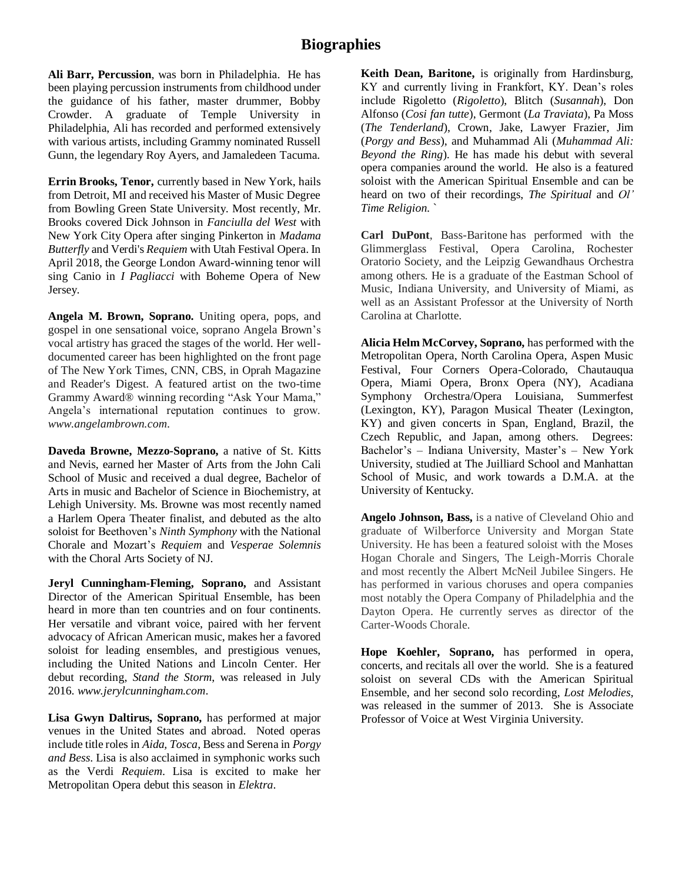**Ali Barr, Percussion**, was born in Philadelphia. He has been playing percussion instruments from childhood under the guidance of his father, master drummer, Bobby Crowder. A graduate of Temple University in Philadelphia, Ali has recorded and performed extensively with various artists, including Grammy nominated Russell Gunn, the legendary Roy Ayers, and Jamaledeen Tacuma.

**Errin Brooks, Tenor,** currently based in New York, hails from Detroit, MI and received his Master of Music Degree from Bowling Green State University. Most recently, Mr. Brooks covered Dick Johnson in *Fanciulla del West* with New York City Opera after singing Pinkerton in *Madama Butterfly* and Verdi's *Requiem* with Utah Festival Opera. In April 2018, the George London Award-winning tenor will sing Canio in *I Pagliacci* with Boheme Opera of New Jersey.

**Angela M. Brown, Soprano.** Uniting opera, pops, and gospel in one sensational voice, soprano Angela Brown's vocal artistry has graced the stages of the world. Her welldocumented career has been highlighted on the front page of The New York Times, CNN, CBS, in Oprah Magazine and Reader's Digest. A featured artist on the two-time Grammy Award® winning recording "Ask Your Mama," Angela's international reputation continues to grow. *www.angelambrown.com*.

**Daveda Browne, Mezzo-Soprano,** a native of St. Kitts and Nevis, earned her Master of Arts from the John Cali School of Music and received a dual degree, Bachelor of Arts in music and Bachelor of Science in Biochemistry, at Lehigh University. Ms. Browne was most recently named a Harlem Opera Theater finalist, and debuted as the alto soloist for Beethoven's *Ninth Symphony* with the National Chorale and Mozart's *Requiem* and *Vesperae Solemnis* with the Choral Arts Society of NJ.

**Jeryl Cunningham-Fleming, Soprano,** and Assistant Director of the American Spiritual Ensemble, has been heard in more than ten countries and on four continents. Her versatile and vibrant voice, paired with her fervent advocacy of African American music, makes her a favored soloist for leading ensembles, and prestigious venues, including the United Nations and Lincoln Center. Her debut recording, *Stand the Storm*, was released in July 2016. *www.jerylcunningham.com*.

**Lisa Gwyn Daltirus, Soprano,** has performed at major venues in the United States and abroad. Noted operas include title roles in *Aida, Tosca*, Bess and Serena in *Porgy and Bess*. Lisa is also acclaimed in symphonic works such as the Verdi *Requiem*. Lisa is excited to make her Metropolitan Opera debut this season in *Elektra*.

**Keith Dean, Baritone,** is originally from Hardinsburg, KY and currently living in Frankfort, KY. Dean's roles include Rigoletto (*Rigoletto*), Blitch (*Susannah*), Don Alfonso (*Cosi fan tutte*), Germont (*La Traviata*), Pa Moss (*The Tenderland*), Crown, Jake, Lawyer Frazier, Jim (*Porgy and Bess*), and Muhammad Ali (*Muhammad Ali: Beyond the Ring*). He has made his debut with several opera companies around the world. He also is a featured soloist with the American Spiritual Ensemble and can be heard on two of their recordings, *The Spiritual* and *Ol' Time Religion*. `

**Carl DuPont**, Bass-Baritone has performed with the Glimmerglass Festival, Opera Carolina, Rochester Oratorio Society, and the Leipzig Gewandhaus Orchestra among others. He is a graduate of the Eastman School of Music, Indiana University, and University of Miami, as well as an Assistant Professor at the University of North Carolina at Charlotte.

**Alicia Helm McCorvey, Soprano,** has performed with the Metropolitan Opera, North Carolina Opera, Aspen Music Festival, Four Corners Opera-Colorado, Chautauqua Opera, Miami Opera, Bronx Opera (NY), Acadiana Symphony Orchestra/Opera Louisiana, Summerfest (Lexington, KY), Paragon Musical Theater (Lexington, KY) and given concerts in Span, England, Brazil, the Czech Republic, and Japan, among others. Degrees: Bachelor's – Indiana University, Master's – New York University, studied at The Juilliard School and Manhattan School of Music, and work towards a D.M.A. at the University of Kentucky.

**Angelo Johnson, Bass,** is a native of Cleveland Ohio and graduate of Wilberforce University and Morgan State University. He has been a featured soloist with the Moses Hogan Chorale and Singers, The Leigh-Morris Chorale and most recently the Albert McNeil Jubilee Singers. He has performed in various choruses and opera companies most notably the Opera Company of Philadelphia and the Dayton Opera. He currently serves as director of the Carter-Woods Chorale.

**Hope Koehler, Soprano,** has performed in opera, concerts, and recitals all over the world. She is a featured soloist on several CDs with the American Spiritual Ensemble, and her second solo recording, *Lost Melodies,*  was released in the summer of 2013. She is Associate Professor of Voice at West Virginia University.